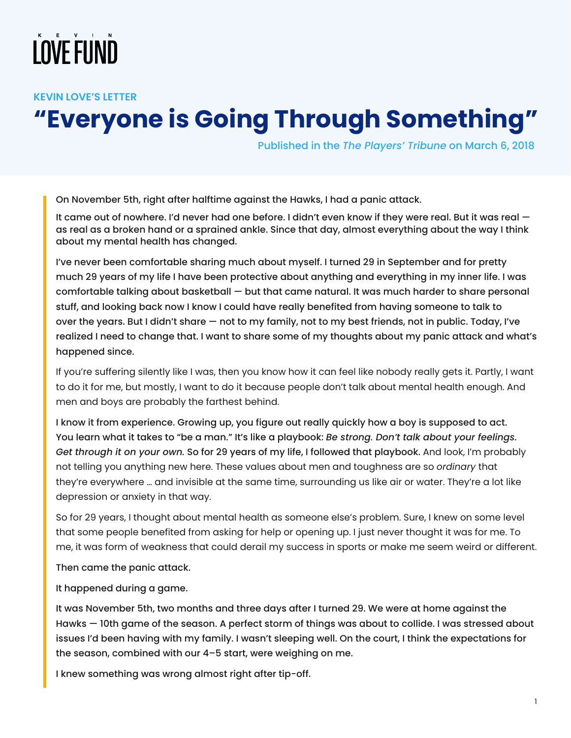#### **KEVIN LOVE'S LETTER**

#### **"Everyone is Going Through Something"**

Published in the *The Players' Tribune* on March 6, 2018

On November 5th, right after halftime against the Hawks, I had a panic attack.

It came out of nowhere. I'd never had one before. I didn't even know if they were real. But it was real  $$ as real as a broken hand or a sprained ankle. Since that day, almost everything about the way I think about my mental health has changed.

I've never been comfortable sharing much about myself. I turned 29 in September and for pretty much 29 years of my life I have been protective about anything and everything in my inner life. I was comfortable talking about basketball — but that came natural. It was much harder to share personal stuff, and looking back now I know I could have really benefited from having someone to talk to over the years. But I didn't share — not to my family, not to my best friends, not in public. Today, I've realized I need to change that. I want to share some of my thoughts about my panic attack and what's happened since.

If you're suffering silently like I was, then you know how it can feel like nobody really gets it. Partly, I want to do it for me, but mostly, I want to do it because people don't talk about mental health enough. And men and boys are probably the farthest behind.

I know it from experience. Growing up, you figure out really quickly how a boy is supposed to act. You learn what it takes to "be a man." It's like a playbook: *Be strong. Don't talk about your feelings. Get through it on your own.* So for 29 years of my life, I followed that playbook. And look, I'm probably not telling you anything new here. These values about men and toughness are so *ordinary* that they're everywhere … and invisible at the same time, surrounding us like air or water. They're a lot like depression or anxiety in that way.

So for 29 years, I thought about mental health as someone else's problem. Sure, I knew on some level that some people benefited from asking for help or opening up. I just never thought it was for me. To me, it was form of weakness that could derail my success in sports or make me seem weird or different.

Then came the panic attack.

It happened during a game.

It was November 5th, two months and three days after I turned 29. We were at home against the Hawks — 10th game of the season. A perfect storm of things was about to collide. I was stressed about issues I'd been having with my family. I wasn't sleeping well. On the court, I think the expectations for the season, combined with our 4–5 start, were weighing on me.

I knew something was wrong almost right after tip-off.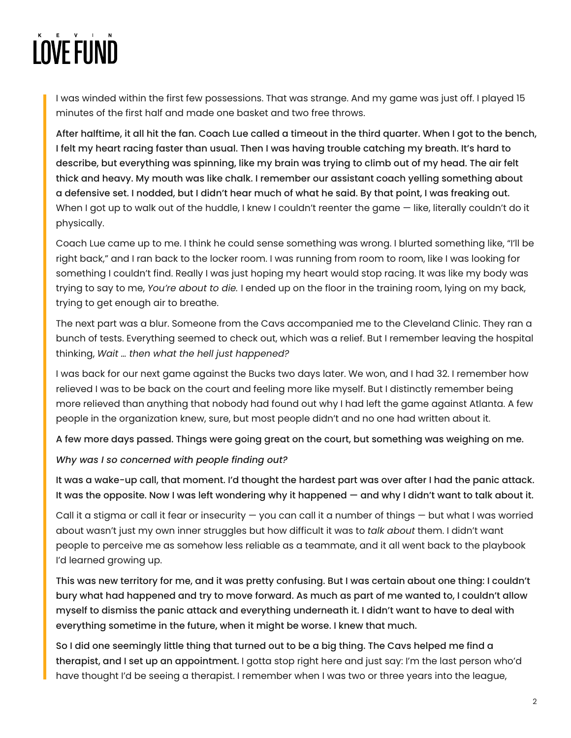I was winded within the first few possessions. That was strange. And my game was just off. I played 15 minutes of the first half and made one basket and two free throws.

After halftime, it all hit the fan. Coach Lue called a timeout in the third quarter. When I got to the bench, I felt my heart racing faster than usual. Then I was having trouble catching my breath. It's hard to describe, but everything was spinning, like my brain was trying to climb out of my head. The air felt thick and heavy. My mouth was like chalk. I remember our assistant coach yelling something about a defensive set. I nodded, but I didn't hear much of what he said. By that point, I was freaking out. When I got up to walk out of the huddle, I knew I couldn't reenter the game  $-$  like, literally couldn't do it physically.

Coach Lue came up to me. I think he could sense something was wrong. I blurted something like, "I'll be right back," and I ran back to the locker room. I was running from room to room, like I was looking for something I couldn't find. Really I was just hoping my heart would stop racing. It was like my body was trying to say to me, *You're about to die.* I ended up on the floor in the training room, lying on my back, trying to get enough air to breathe.

The next part was a blur. Someone from the Cavs accompanied me to the Cleveland Clinic. They ran a bunch of tests. Everything seemed to check out, which was a relief. But I remember leaving the hospital thinking, *Wait … then what the hell just happened?*

I was back for our next game against the Bucks two days later. We won, and I had 32. I remember how relieved I was to be back on the court and feeling more like myself. But I distinctly remember being more relieved than anything that nobody had found out why I had left the game against Atlanta. A few people in the organization knew, sure, but most people didn't and no one had written about it.

A few more days passed. Things were going great on the court, but something was weighing on me.

*Why was I so concerned with people finding out?*

It was a wake-up call, that moment. I'd thought the hardest part was over after I had the panic attack. It was the opposite. Now I was left wondering why it happened — and why I didn't want to talk about it.

Call it a stigma or call it fear or insecurity — you can call it a number of things — but what I was worried about wasn't just my own inner struggles but how difficult it was to *talk about* them. I didn't want people to perceive me as somehow less reliable as a teammate, and it all went back to the playbook I'd learned growing up.

This was new territory for me, and it was pretty confusing. But I was certain about one thing: I couldn't bury what had happened and try to move forward. As much as part of me wanted to, I couldn't allow myself to dismiss the panic attack and everything underneath it. I didn't want to have to deal with everything sometime in the future, when it might be worse. I knew that much.

So I did one seemingly little thing that turned out to be a big thing. The Cavs helped me find a therapist, and I set up an appointment. I gotta stop right here and just say: I'm the last person who'd have thought I'd be seeing a therapist. I remember when I was two or three years into the league,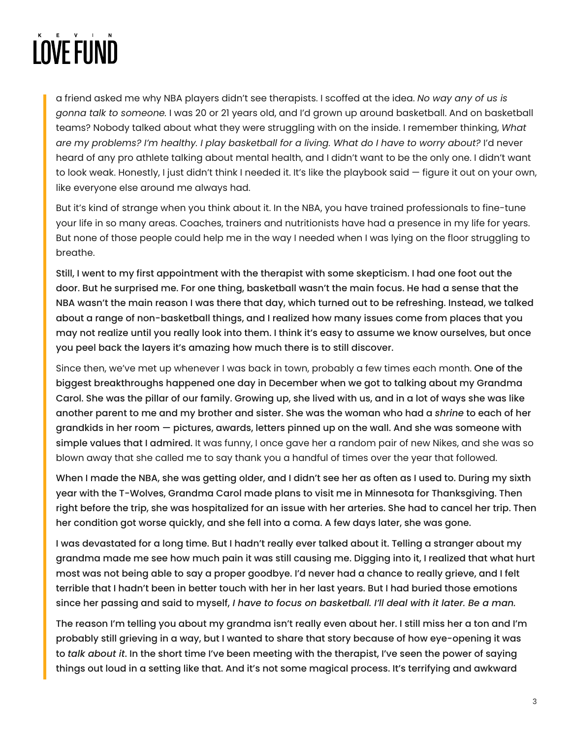a friend asked me why NBA players didn't see therapists. I scoffed at the idea. *No way any of us is gonna talk to someone.* I was 20 or 21 years old, and I'd grown up around basketball. And on basketball teams? Nobody talked about what they were struggling with on the inside. I remember thinking, *What are my problems? I'm healthy. I play basketball for a living. What do I have to worry about?* I'd never heard of any pro athlete talking about mental health, and I didn't want to be the only one. I didn't want to look weak. Honestly, I just didn't think I needed it. It's like the playbook said — figure it out on your own, like everyone else around me always had.

But it's kind of strange when you think about it. In the NBA, you have trained professionals to fine-tune your life in so many areas. Coaches, trainers and nutritionists have had a presence in my life for years. But none of those people could help me in the way I needed when I was lying on the floor struggling to breathe.

Still, I went to my first appointment with the therapist with some skepticism. I had one foot out the door. But he surprised me. For one thing, basketball wasn't the main focus. He had a sense that the NBA wasn't the main reason I was there that day, which turned out to be refreshing. Instead, we talked about a range of non-basketball things, and I realized how many issues come from places that you may not realize until you really look into them. I think it's easy to assume we know ourselves, but once you peel back the layers it's amazing how much there is to still discover.

Since then, we've met up whenever I was back in town, probably a few times each month. One of the biggest breakthroughs happened one day in December when we got to talking about my Grandma Carol. She was the pillar of our family. Growing up, she lived with us, and in a lot of ways she was like another parent to me and my brother and sister. She was the woman who had a *shrine* to each of her grandkids in her room — pictures, awards, letters pinned up on the wall. And she was someone with simple values that I admired. It was funny, I once gave her a random pair of new Nikes, and she was so blown away that she called me to say thank you a handful of times over the year that followed.

When I made the NBA, she was getting older, and I didn't see her as often as I used to. During my sixth year with the T-Wolves, Grandma Carol made plans to visit me in Minnesota for Thanksgiving. Then right before the trip, she was hospitalized for an issue with her arteries. She had to cancel her trip. Then her condition got worse quickly, and she fell into a coma. A few days later, she was gone.

I was devastated for a long time. But I hadn't really ever talked about it. Telling a stranger about my grandma made me see how much pain it was still causing me. Digging into it, I realized that what hurt most was not being able to say a proper goodbye. I'd never had a chance to really grieve, and I felt terrible that I hadn't been in better touch with her in her last years. But I had buried those emotions since her passing and said to myself, *I have to focus on basketball. I'll deal with it later. Be a man.*

The reason I'm telling you about my grandma isn't really even about her. I still miss her a ton and I'm probably still grieving in a way, but I wanted to share that story because of how eye-opening it was to *talk about it*. In the short time I've been meeting with the therapist, I've seen the power of saying things out loud in a setting like that. And it's not some magical process. It's terrifying and awkward